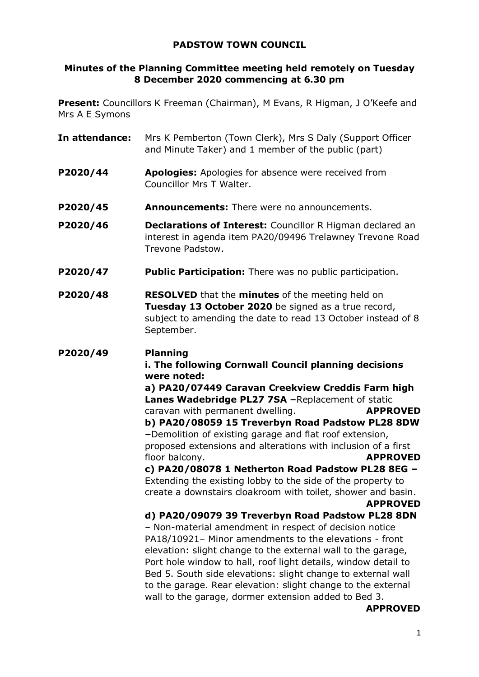# **PADSTOW TOWN COUNCIL**

# **Minutes of the Planning Committee meeting held remotely on Tuesday 8 December 2020 commencing at 6.30 pm**

**Present:** Councillors K Freeman (Chairman), M Evans, R Higman, J O'Keefe and Mrs A E Symons

- **In attendance:** Mrs K Pemberton (Town Clerk), Mrs S Daly (Support Officer and Minute Taker) and 1 member of the public (part)
- **P2020/44 Apologies:** Apologies for absence were received from Councillor Mrs T Walter.
- **P2020/45 Announcements:** There were no announcements.
- **P2020/46 Declarations of Interest:** Councillor R Higman declared an interest in agenda item PA20/09496 Trelawney Trevone Road Trevone Padstow.
- **P2020/47 Public Participation:** There was no public participation.
- **P2020/48 RESOLVED** that the **minutes** of the meeting held on **Tuesday 13 October 2020** be signed as a true record, subject to amending the date to read 13 October instead of 8 September.

### **P2020/49 Planning**

**i. The following Cornwall Council planning decisions were noted:** 

**a) PA20/07449 Caravan Creekview Creddis Farm high Lanes Wadebridge PL27 7SA –**Replacement of static caravan with permanent dwelling. **APPROVED b) PA20/08059 15 Treverbyn Road Padstow PL28 8DW –**Demolition of existing garage and flat roof extension, proposed extensions and alterations with inclusion of a first floor balcony. **APPROVED**

**c) PA20/08078 1 Netherton Road Padstow PL28 8EG –** Extending the existing lobby to the side of the property to create a downstairs cloakroom with toilet, shower and basin.

**APPROVED** 

**d) PA20/09079 39 Treverbyn Road Padstow PL28 8DN** – Non-material amendment in respect of decision notice PA18/10921– Minor amendments to the elevations - front elevation: slight change to the external wall to the garage, Port hole window to hall, roof light details, window detail to Bed 5. South side elevations: slight change to external wall to the garage. Rear elevation: slight change to the external wall to the garage, dormer extension added to Bed 3.

 **APPROVED**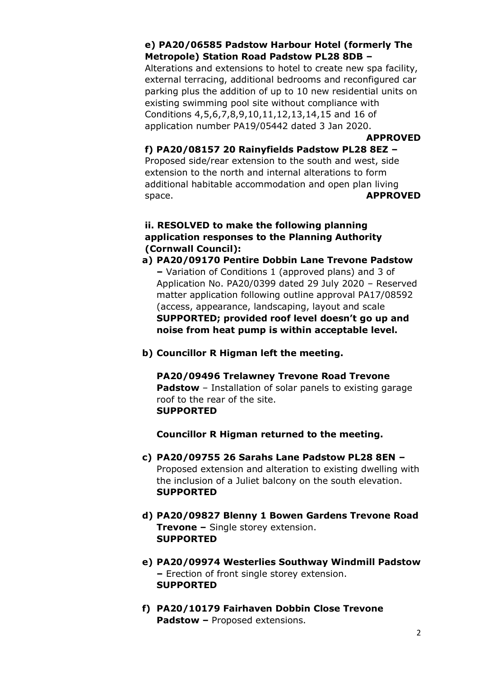# **e) PA20/06585 Padstow Harbour Hotel (formerly The Metropole) Station Road Padstow PL28 8DB –**

Alterations and extensions to hotel to create new spa facility, external terracing, additional bedrooms and reconfigured car parking plus the addition of up to 10 new residential units on existing swimming pool site without compliance with Conditions 4,5,6,7,8,9,10,11,12,13,14,15 and 16 of application number PA19/05442 dated 3 Jan 2020.

**APPROVED** 

## **f) PA20/08157 20 Rainyfields Padstow PL28 8EZ –**

Proposed side/rear extension to the south and west, side extension to the north and internal alterations to form additional habitable accommodation and open plan living space. **APPROVED** 

# **ii. RESOLVED to make the following planning application responses to the Planning Authority (Cornwall Council):**

- **a) PA20/09170 Pentire Dobbin Lane Trevone Padstow –** Variation of Conditions 1 (approved plans) and 3 of Application No. PA20/0399 dated 29 July 2020 – Reserved matter application following outline approval PA17/08592 (access, appearance, landscaping, layout and scale **SUPPORTED; provided roof level doesn't go up and noise from heat pump is within acceptable level.**
- **b) Councillor R Higman left the meeting.**

### **PA20/09496 Trelawney Trevone Road Trevone Padstow** – Installation of solar panels to existing garage roof to the rear of the site. **SUPPORTED**

**Councillor R Higman returned to the meeting.** 

- **c) PA20/09755 26 Sarahs Lane Padstow PL28 8EN –** Proposed extension and alteration to existing dwelling with the inclusion of a Juliet balcony on the south elevation. **SUPPORTED**
- **d) PA20/09827 Blenny 1 Bowen Gardens Trevone Road Trevone –** Single storey extension. **SUPPORTED**
- **e) PA20/09974 Westerlies Southway Windmill Padstow –** Erection of front single storey extension. **SUPPORTED**
- **f) PA20/10179 Fairhaven Dobbin Close Trevone Padstow –** Proposed extensions.